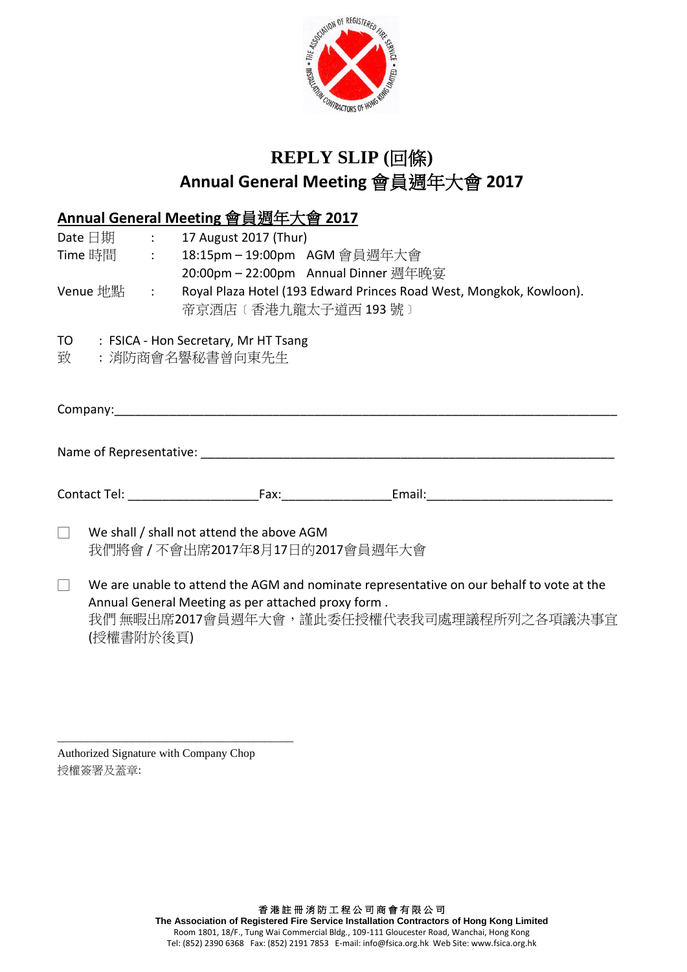

# **REPLY SLIP (**回條**) Annual General Meeting** 會員週年大會 **2017**

## **Annual General Meeting** 會員週年大會 **2017**

|        |                                                                                                                                                                                                          |  | Date $\boxdot$ 期 : 17 August 2017 (Thur)                                                   |  |  |  |
|--------|----------------------------------------------------------------------------------------------------------------------------------------------------------------------------------------------------------|--|--------------------------------------------------------------------------------------------|--|--|--|
|        |                                                                                                                                                                                                          |  | Time 時間 : 18:15pm - 19:00pm AGM 會員週年大會                                                     |  |  |  |
|        |                                                                                                                                                                                                          |  | 20:00pm - 22:00pm Annual Dinner 週年晚宴                                                       |  |  |  |
|        | Venue 地點  :                                                                                                                                                                                              |  | Royal Plaza Hotel (193 Edward Princes Road West, Mongkok, Kowloon).<br>帝京酒店〔香港九龍太子道西 193號〕 |  |  |  |
|        |                                                                                                                                                                                                          |  | TO : FSICA - Hon Secretary, Mr HT Tsang<br>致  :消防商會名譽秘書曾向東先生                               |  |  |  |
|        |                                                                                                                                                                                                          |  | Company: Company:                                                                          |  |  |  |
|        |                                                                                                                                                                                                          |  |                                                                                            |  |  |  |
|        |                                                                                                                                                                                                          |  |                                                                                            |  |  |  |
|        |                                                                                                                                                                                                          |  |                                                                                            |  |  |  |
|        |                                                                                                                                                                                                          |  |                                                                                            |  |  |  |
| $\Box$ | We shall / shall not attend the above AGM<br>我們將會/不會出席2017年8月17日的2017會員週年大會                                                                                                                              |  |                                                                                            |  |  |  |
| $\Box$ | We are unable to attend the AGM and nominate representative on our behalf to vote at the<br>Annual General Meeting as per attached proxy form.<br>我們 無暇出席2017會員週年大會,謹此委任授權代表我司處理議程所列之各項議決事宜<br>(授權書附於後頁) |  |                                                                                            |  |  |  |

Authorized Signature with Company Chop 授權簽署及蓋章:

\_\_\_\_\_\_\_\_\_\_\_\_\_\_\_\_\_\_\_\_\_\_\_\_\_\_\_\_\_\_\_\_\_\_\_\_\_\_\_\_\_

香 港 註 冊 消 防 工 程 公 司 商 會 有 限 公 司 **The Association of Registered Fire Service Installation Contractors of Hong Kong Limited** Room 1801, 18/F., Tung Wai Commercial Bldg., 109-111 Gloucester Road, Wanchai, Hong Kong Tel: (852) 2390 6368 Fax: (852) 2191 7853 E-mail[: info@fsica.org.hk](mailto:info@fsica.org.hk) Web Site[: www.fsica.org.hk](http://www.fsica.org.hk/)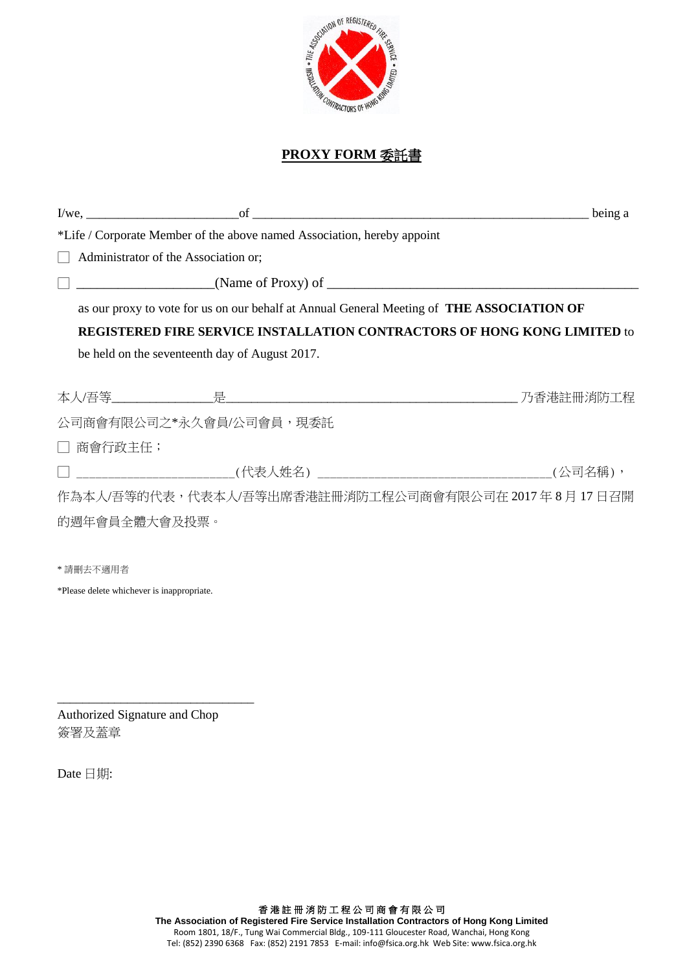

#### **PROXY FORM** 委託書

|               |                                                                         | $I/we$ , $I/we$ , $I/we$ , $I/we$ , $I/we$ , $I/we$ , $I/we$ , $I/we$ , $I/we$ , $I/we$ , $I/we$ , $I/we$ , $I/we$ , $I/we$ , $I/we$ , $I/we$ , $I/we$ , $I/we$ , $I/we$ , $I/we$ , $I/we$ , $I/we$ , $I/we$ , $I/we$ , $I/we$ , $I/we$ , $I/we$ , $I/we$ , $I/we$ , $I/we$ , $I/we$ , $I/we$<br>being a |
|---------------|-------------------------------------------------------------------------|----------------------------------------------------------------------------------------------------------------------------------------------------------------------------------------------------------------------------------------------------------------------------------------------------------|
|               | *Life / Corporate Member of the above named Association, hereby appoint |                                                                                                                                                                                                                                                                                                          |
|               | Administrator of the Association or;                                    |                                                                                                                                                                                                                                                                                                          |
|               |                                                                         | $\frac{1}{2}$ (Name of Proxy) of $\frac{1}{2}$ (Name of Proxy) of $\frac{1}{2}$                                                                                                                                                                                                                          |
|               |                                                                         | as our proxy to vote for us on our behalf at Annual General Meeting of <b>THE ASSOCIATION OF</b>                                                                                                                                                                                                         |
|               |                                                                         | <b>REGISTERED FIRE SERVICE INSTALLATION CONTRACTORS OF HONG KONG LIMITED to</b>                                                                                                                                                                                                                          |
|               | be held on the seventeenth day of August 2017.                          |                                                                                                                                                                                                                                                                                                          |
|               |                                                                         |                                                                                                                                                                                                                                                                                                          |
|               |                                                                         |                                                                                                                                                                                                                                                                                                          |
|               | 公司商會有限公司之*永久會員/公司會員,現委託                                                 |                                                                                                                                                                                                                                                                                                          |
| □ 商會行政主任;     |                                                                         |                                                                                                                                                                                                                                                                                                          |
|               |                                                                         |                                                                                                                                                                                                                                                                                                          |
|               |                                                                         | 作為本人/吾等的代表,代表本人/吾等出席香港註冊消防工程公司商會有限公司在 2017 年 8 月 17 日召開                                                                                                                                                                                                                                                  |
| 的週年會員全體大會及投票。 |                                                                         |                                                                                                                                                                                                                                                                                                          |
|               |                                                                         |                                                                                                                                                                                                                                                                                                          |

\* 請刪去不適用者

\*Please delete whichever is inappropriate.

Authorized Signature and Chop 簽署及蓋章

\_\_\_\_\_\_\_\_\_\_\_\_\_\_\_\_\_\_\_\_\_\_\_\_\_\_\_\_\_\_\_

Date 日期: